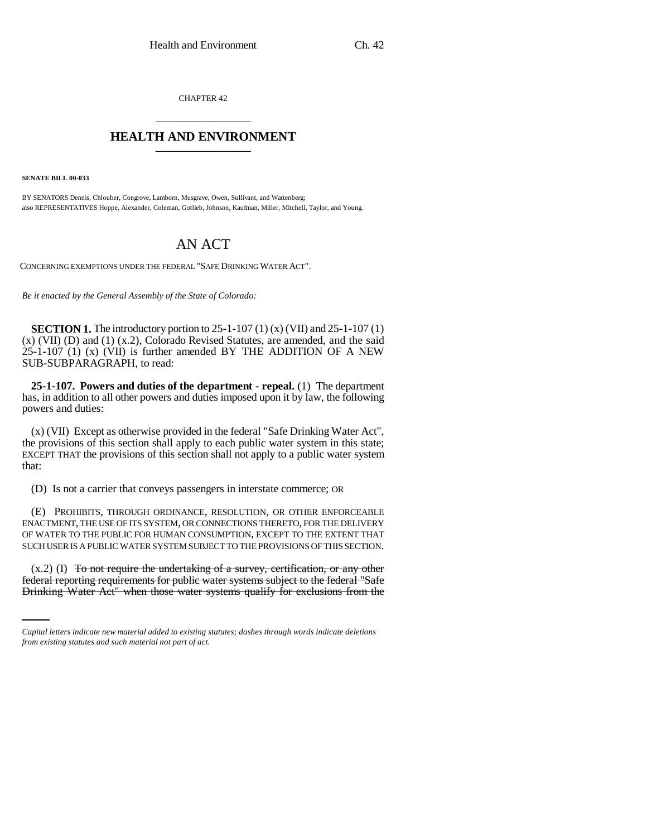CHAPTER 42 \_\_\_\_\_\_\_\_\_\_\_\_\_\_\_

## **HEALTH AND ENVIRONMENT** \_\_\_\_\_\_\_\_\_\_\_\_\_\_\_

**SENATE BILL 00-033** 

BY SENATORS Dennis, Chlouber, Congrove, Lamborn, Musgrave, Owen, Sullivant, and Wattenberg; also REPRESENTATIVES Hoppe, Alexander, Coleman, Gotlieb, Johnson, Kaufman, Miller, Mitchell, Taylor, and Young.

## AN ACT

CONCERNING EXEMPTIONS UNDER THE FEDERAL "SAFE DRINKING WATER ACT".

*Be it enacted by the General Assembly of the State of Colorado:*

**SECTION 1.** The introductory portion to  $25-1-107(1)$  (x) (VII) and  $25-1-107(1)$ (x) (VII) (D) and (1) (x.2), Colorado Revised Statutes, are amended, and the said 25-1-107 (1) (x) (VII) is further amended BY THE ADDITION OF A NEW SUB-SUBPARAGRAPH, to read:

**25-1-107. Powers and duties of the department - repeal.** (1) The department has, in addition to all other powers and duties imposed upon it by law, the following powers and duties:

(x) (VII) Except as otherwise provided in the federal "Safe Drinking Water Act", the provisions of this section shall apply to each public water system in this state; EXCEPT THAT the provisions of this section shall not apply to a public water system that:

(D) Is not a carrier that conveys passengers in interstate commerce; OR

(E) PROHIBITS, THROUGH ORDINANCE, RESOLUTION, OR OTHER ENFORCEABLE ENACTMENT, THE USE OF ITS SYSTEM, OR CONNECTIONS THERETO, FOR THE DELIVERY OF WATER TO THE PUBLIC FOR HUMAN CONSUMPTION, EXCEPT TO THE EXTENT THAT SUCH USER IS A PUBLIC WATER SYSTEM SUBJECT TO THE PROVISIONS OF THIS SECTION.

 $(x.2)$  (I) To not require the undertaking of a survey, certification, or any other federal reporting requirements for public water systems subject to the federal "Safe Drinking Water Act" when those water systems qualify for exclusions from the

*Capital letters indicate new material added to existing statutes; dashes through words indicate deletions from existing statutes and such material not part of act.*